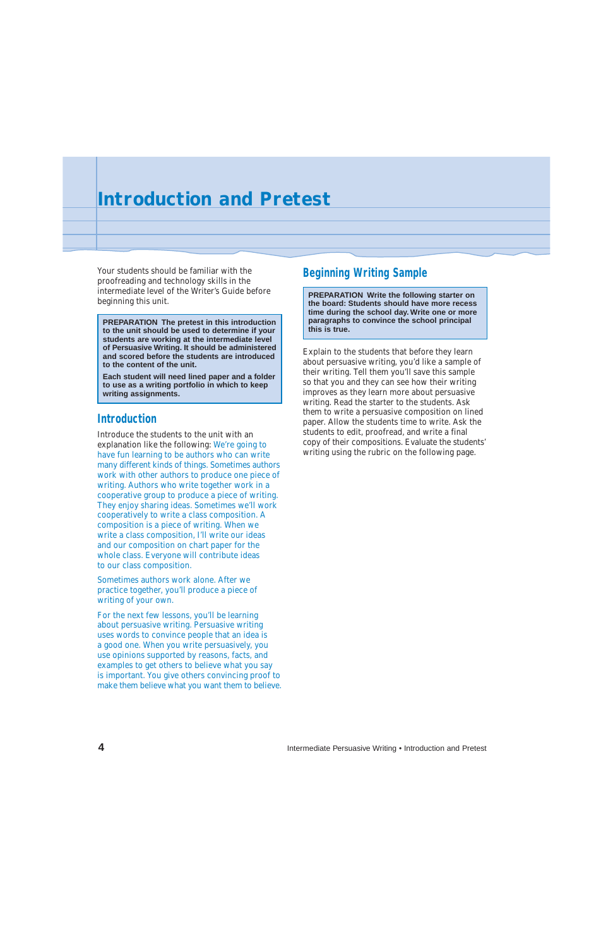Your students should be familiar with the proofreading and technology skills in the intermediate level of the Writer's Guide before beginning this unit.

## **Introduction**

Introduce the students to the unit with an explanation like the following: We're going to have fun learning to be authors who can write many different kinds of things. Sometimes authors work with other authors to produce one piece of writing. Authors who write together work in a cooperative group to produce a piece of writing. They enjoy sharing ideas. Sometimes we'll work cooperatively to write a class composition. A composition is a piece of writing. When we write a class composition, I'll write our ideas and our composition on chart paper for the whole class. Everyone will contribute ideas to our class composition.

Sometimes authors work alone. After we practice together, you'll produce a piece of writing of your own.

For the next few lessons, you'll be learning about persuasive writing. Persuasive writing uses words to convince people that an idea is a good one. When you write persuasively, you use opinions supported by reasons, facts, and examples to get others to believe what you say is important. You give others convincing proof to make them believe what you want them to believe.

## **Beginning Writing Sample**

Explain to the students that before they learn about persuasive writing, you'd like a sample of their writing. Tell them you'll save this sample so that you and they can see how their writing improves as they learn more about persuasive writing. Read the starter to the students. Ask them to write a persuasive composition on lined paper. Allow the students time to write. Ask the students to edit, proofread, and write a final copy of their compositions. Evaluate the students' writing using the rubric on the following page.

**4** Intermediate Persuasive Writing • Introduction and Pretest

**PREPARATION Write the following starter on the board: Students should have more recess time during the school day. Write one or more paragraphs to convince the school principal**

**this is true. PREPARATION The pretest in this introduction to the unit should be used to determine if your students are working at the intermediate level of Persuasive Writing. It should be administered and scored before the students are introduced to the content of the unit.**

**Each student will need lined paper and a folder to use as a writing portfolio in which to keep writing assignments.**

## **Introduction and Pretest**